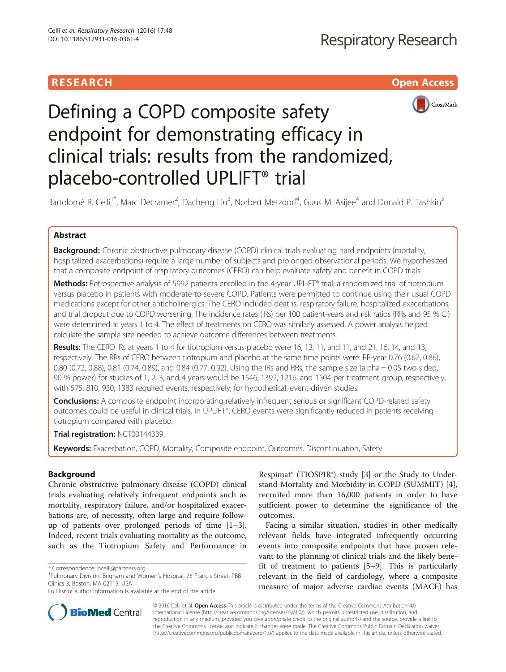# **RESEARCH CHILD CONTROL** CONTROL CONTROL CONTROL CONTROL CONTROL CONTROL CONTROL CONTROL CONTROL CONTROL CONTROL



# Defining a COPD composite safety endpoint for demonstrating efficacy in clinical trials: results from the randomized, placebo-controlled UPLIFT® trial

Bartolomé R. Celli<sup>1\*</sup>, Marc Decramer<sup>2</sup>, Dacheng Liu<sup>3</sup>, Norbert Metzdorf<sup>4</sup>, Guus M. Asijee<sup>4</sup> and Donald P. Tashkin<sup>5</sup>

## Abstract

Background: Chronic obstructive pulmonary disease (COPD) clinical trials evaluating hard endpoints (mortality, hospitalized exacerbations) require a large number of subjects and prolonged observational periods. We hypothesized that a composite endpoint of respiratory outcomes (CERO) can help evaluate safety and benefit in COPD trials.

Methods: Retrospective analysis of 5992 patients enrolled in the 4-year UPLIFT® trial, a randomized trial of tiotropium versus placebo in patients with moderate-to-severe COPD. Patients were permitted to continue using their usual COPD medications except for other anticholinergics. The CERO included deaths, respiratory failure, hospitalized exacerbations, and trial dropout due to COPD worsening. The incidence rates (IRs) per 100 patient-years and risk ratios (RRs and 95 % CI) were determined at years 1 to 4. The effect of treatments on CERO was similarly assessed. A power analysis helped calculate the sample size needed to achieve outcome differences between treatments.

Results: The CERO IRs at years 1 to 4 for tiotropium versus placebo were 16, 13, 11, and 11, and 21, 16, 14, and 13, respectively. The RRs of CERO between tiotropium and placebo at the same time points were: RR-year 0.76 (0.67, 0.86), 0.80 (0.72, 0.88), 0.81 (0.74, 0.89), and 0.84 (0.77, 0.92). Using the IRs and RRs, the sample size (alpha = 0.05 two-sided, 90 % power) for studies of 1, 2, 3, and 4 years would be 1546, 1392, 1216, and 1504 per treatment group, respectively, with 575, 810, 930, 1383 required events, respectively, for hypothetical, event-driven studies.

**Conclusions:** A composite endpoint incorporating relatively infrequent serious or significant COPD-related safety outcomes could be useful in clinical trials. In UPLIFT®, CERO events were significantly reduced in patients receiving tiotropium compared with placebo.

Trial registration: [NCT00144339](https://clinicaltrials.gov/ct2/show/record/NCT00144339).

Keywords: Exacerbation, COPD, Mortality, Composite endpoint, Outcomes, Discontinuation, Safety

### Background

Chronic obstructive pulmonary disease (COPD) clinical trials evaluating relatively infrequent endpoints such as mortality, respiratory failure, and/or hospitalized exacerbations are, of necessity, often large and require followup of patients over prolonged periods of time [\[1](#page-7-0)–[3](#page-7-0)]. Indeed, recent trials evaluating mortality as the outcome, such as the Tiotropium Safety and Performance in

Respimat® (TIOSPIR®) study [[3\]](#page-7-0) or the Study to Understand Mortality and Morbidity in COPD (SUMMIT) [\[4](#page-7-0)], recruited more than 16,000 patients in order to have sufficient power to determine the significance of the outcomes.

Facing a similar situation, studies in other medically relevant fields have integrated infrequently occurring events into composite endpoints that have proven relevant to the planning of clinical trials and the likely benefit of treatment to patients [\[5](#page-7-0)–[9\]](#page-7-0). This is particularly relevant in the field of cardiology, where a composite measure of major adverse cardiac events (MACE) has



© 2016 Celli et al. Open Access This article is distributed under the terms of the Creative Commons Attribution 4.0 International License [\(http://creativecommons.org/licenses/by/4.0/](http://creativecommons.org/licenses/by/4.0/)), which permits unrestricted use, distribution, and reproduction in any medium, provided you give appropriate credit to the original author(s) and the source, provide a link to the Creative Commons license, and indicate if changes were made. The Creative Commons Public Domain Dedication waiver [\(http://creativecommons.org/publicdomain/zero/1.0/](http://creativecommons.org/publicdomain/zero/1.0/)) applies to the data made available in this article, unless otherwise stated.

<sup>\*</sup> Correspondence: [bcelli@partners.org](mailto:bcelli@partners.org) <sup>1</sup>

<sup>&</sup>lt;sup>1</sup>Pulmonary Division, Brigham and Women's Hospital, 75 Francis Street, PBB Clinics 3, Boston, MA 02115, USA

Full list of author information is available at the end of the article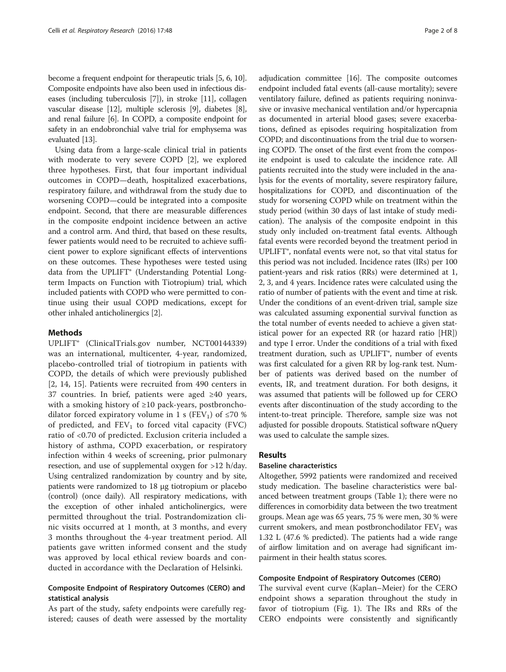become a frequent endpoint for therapeutic trials [\[5, 6](#page-7-0), [10](#page-7-0)]. Composite endpoints have also been used in infectious diseases (including tuberculosis [\[7](#page-7-0)]), in stroke [\[11\]](#page-7-0), collagen vascular disease [\[12](#page-7-0)], multiple sclerosis [\[9](#page-7-0)], diabetes [[8](#page-7-0)], and renal failure [\[6\]](#page-7-0). In COPD, a composite endpoint for safety in an endobronchial valve trial for emphysema was evaluated [\[13\]](#page-7-0).

Using data from a large-scale clinical trial in patients with moderate to very severe COPD [[2\]](#page-7-0), we explored three hypotheses. First, that four important individual outcomes in COPD—death, hospitalized exacerbations, respiratory failure, and withdrawal from the study due to worsening COPD—could be integrated into a composite endpoint. Second, that there are measurable differences in the composite endpoint incidence between an active and a control arm. And third, that based on these results, fewer patients would need to be recruited to achieve sufficient power to explore significant effects of interventions on these outcomes. These hypotheses were tested using data from the UPLIFT® (Understanding Potential Longterm Impacts on Function with Tiotropium) trial, which included patients with COPD who were permitted to continue using their usual COPD medications, except for other inhaled anticholinergics [\[2](#page-7-0)].

#### Methods

UPLIFT® (ClinicalTrials.gov number, NCT00144339) was an international, multicenter, 4-year, randomized, placebo-controlled trial of tiotropium in patients with COPD, the details of which were previously published [[2, 14, 15](#page-7-0)]. Patients were recruited from 490 centers in 37 countries. In brief, patients were aged ≥40 years, with a smoking history of  $\geq 10$  pack-years, postbronchodilator forced expiratory volume in 1 s (FEV<sub>1</sub>) of  $\leq 70$  % of predicted, and  $FEV_1$  to forced vital capacity (FVC) ratio of <0.70 of predicted. Exclusion criteria included a history of asthma, COPD exacerbation, or respiratory infection within 4 weeks of screening, prior pulmonary resection, and use of supplemental oxygen for >12 h/day. Using centralized randomization by country and by site, patients were randomized to 18 μg tiotropium or placebo (control) (once daily). All respiratory medications, with the exception of other inhaled anticholinergics, were permitted throughout the trial. Postrandomization clinic visits occurred at 1 month, at 3 months, and every 3 months throughout the 4-year treatment period. All patients gave written informed consent and the study was approved by local ethical review boards and conducted in accordance with the Declaration of Helsinki.

#### Composite Endpoint of Respiratory Outcomes (CERO) and statistical analysis

As part of the study, safety endpoints were carefully registered; causes of death were assessed by the mortality adjudication committee [\[16\]](#page-7-0). The composite outcomes endpoint included fatal events (all-cause mortality); severe ventilatory failure, defined as patients requiring noninvasive or invasive mechanical ventilation and/or hypercapnia as documented in arterial blood gases; severe exacerbations, defined as episodes requiring hospitalization from COPD; and discontinuations from the trial due to worsening COPD. The onset of the first event from the composite endpoint is used to calculate the incidence rate. All patients recruited into the study were included in the analysis for the events of mortality, severe respiratory failure, hospitalizations for COPD, and discontinuation of the study for worsening COPD while on treatment within the study period (within 30 days of last intake of study medication). The analysis of the composite endpoint in this study only included on-treatment fatal events. Although fatal events were recorded beyond the treatment period in UPLIFT®, nonfatal events were not, so that vital status for this period was not included. Incidence rates (IRs) per 100 patient-years and risk ratios (RRs) were determined at 1, 2, 3, and 4 years. Incidence rates were calculated using the ratio of number of patients with the event and time at risk. Under the conditions of an event-driven trial, sample size was calculated assuming exponential survival function as the total number of events needed to achieve a given statistical power for an expected RR (or hazard ratio [HR]) and type I error. Under the conditions of a trial with fixed treatment duration, such as UPLIFT®, number of events was first calculated for a given RR by log-rank test. Number of patients was derived based on the number of events, IR, and treatment duration. For both designs, it was assumed that patients will be followed up for CERO events after discontinuation of the study according to the intent-to-treat principle. Therefore, sample size was not adjusted for possible dropouts. Statistical software nQuery was used to calculate the sample sizes.

#### Results

#### Baseline characteristics

Altogether, 5992 patients were randomized and received study medication. The baseline characteristics were balanced between treatment groups (Table [1\)](#page-2-0); there were no differences in comorbidity data between the two treatment groups. Mean age was 65 years, 75 % were men, 30 % were current smokers, and mean postbronchodilator  $FEV<sub>1</sub>$  was 1.32 L (47.6 % predicted). The patients had a wide range of airflow limitation and on average had significant impairment in their health status scores.

#### Composite Endpoint of Respiratory Outcomes (CERO)

The survival event curve (Kaplan–Meier) for the CERO endpoint shows a separation throughout the study in favor of tiotropium (Fig. [1\)](#page-2-0). The IRs and RRs of the CERO endpoints were consistently and significantly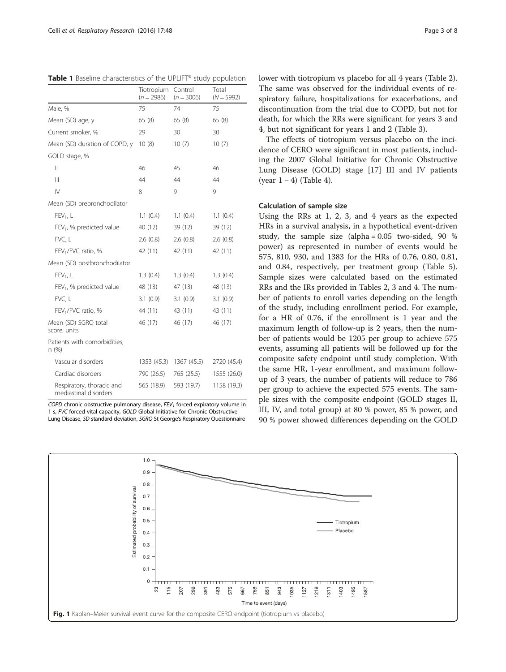<span id="page-2-0"></span>

| <b>Table 1</b> Baseline characteristics of the UPLIFT <sup>®</sup> study population |                            |                         |                       |  |  |  |  |
|-------------------------------------------------------------------------------------|----------------------------|-------------------------|-----------------------|--|--|--|--|
|                                                                                     | Tiotropium<br>$(n = 2986)$ | Control<br>$(n = 3006)$ | Total<br>$(N = 5992)$ |  |  |  |  |
| Male, %                                                                             | 75                         | 74                      | 75                    |  |  |  |  |
| Mean (SD) age, y                                                                    | 65(8)                      | 65(8)                   | 65(8)                 |  |  |  |  |
| Current smoker, %                                                                   | 29                         | 30                      | 30                    |  |  |  |  |
| Mean (SD) duration of COPD, y                                                       | 10(8)                      | 10(7)                   | 10(7)                 |  |  |  |  |
| GOLD stage, %                                                                       |                            |                         |                       |  |  |  |  |
| $\mathbf{  }$                                                                       | 46                         | 45                      | 46                    |  |  |  |  |
| Ш                                                                                   | 44                         | 44                      | 44                    |  |  |  |  |
| $\mathsf{IV}$                                                                       | 8                          | 9                       | 9                     |  |  |  |  |
| Mean (SD) prebronchodilator                                                         |                            |                         |                       |  |  |  |  |
| $FEV1$ , L                                                                          | 1.1(0.4)                   | 1.1(0.4)                | 1.1(0.4)              |  |  |  |  |
| $FEV1$ , % predicted value                                                          | 40 (12)                    | 39 (12)                 | 39 (12)               |  |  |  |  |
| FVC, L                                                                              | 2.6(0.8)                   | 2.6(0.8)                | 2.6(0.8)              |  |  |  |  |
| FEV <sub>1</sub> /FVC ratio, %                                                      | 42 (11)                    | 42 (11)                 | 42 (11)               |  |  |  |  |
| Mean (SD) postbronchodilator                                                        |                            |                         |                       |  |  |  |  |
| $FEV1$ , L                                                                          | 1.3(0.4)                   | 1.3(0.4)                | 1.3(0.4)              |  |  |  |  |
| $FEV1$ , % predicted value                                                          | 48 (13)                    | 47 (13)                 | 48 (13)               |  |  |  |  |
| FVC, L                                                                              | 3.1(0.9)                   | 3.1(0.9)                | 3.1(0.9)              |  |  |  |  |
| FEV <sub>1</sub> /FVC ratio, %                                                      | 44 (11)                    | 43 (11)                 | 43 (11)               |  |  |  |  |
| Mean (SD) SGRQ total<br>score, units                                                | 46 (17)                    | 46 (17)                 | 46 (17)               |  |  |  |  |
| Patients with comorbidities,<br>n(%)                                                |                            |                         |                       |  |  |  |  |
| Vascular disorders                                                                  | 1353 (45.3)                | 1367 (45.5)             | 2720 (45.4)           |  |  |  |  |
| Cardiac disorders                                                                   | 790 (26.5)                 | 765 (25.5)              | 1555 (26.0)           |  |  |  |  |
| Respiratory, thoracic and<br>mediastinal disorders                                  | 565 (18.9)                 | 593 (19.7)              | 1158 (19.3)           |  |  |  |  |

COPD chronic obstructive pulmonary disease,  $FEV<sub>1</sub>$  forced expiratory volume in 1 s, FVC forced vital capacity, GOLD Global Initiative for Chronic Obstructive Lung Disease, SD standard deviation, SGRQ St George's Respiratory Questionnaire

lower with tiotropium vs placebo for all 4 years (Table [2](#page-3-0)). The same was observed for the individual events of respiratory failure, hospitalizations for exacerbations, and discontinuation from the trial due to COPD, but not for death, for which the RRs were significant for years 3 and 4, but not significant for years 1 and 2 (Table [3\)](#page-4-0).

The effects of tiotropium versus placebo on the incidence of CERO were significant in most patients, including the 2007 Global Initiative for Chronic Obstructive Lung Disease (GOLD) stage [\[17\]](#page-7-0) III and IV patients (year  $1 - 4$  $1 - 4$ ) (Table 4).

#### Calculation of sample size

Using the RRs at 1, 2, 3, and 4 years as the expected HRs in a survival analysis, in a hypothetical event-driven study, the sample size (alpha = 0.05 two-sided, 90 % power) as represented in number of events would be 575, 810, 930, and 1383 for the HRs of 0.76, 0.80, 0.81, and 0.84, respectively, per treatment group (Table [5](#page-5-0)). Sample sizes were calculated based on the estimated RRs and the IRs provided in Tables [2](#page-3-0), [3](#page-4-0) and [4](#page-5-0). The number of patients to enroll varies depending on the length of the study, including enrollment period. For example, for a HR of 0.76, if the enrollment is 1 year and the maximum length of follow-up is 2 years, then the number of patients would be 1205 per group to achieve 575 events, assuming all patients will be followed up for the composite safety endpoint until study completion. With the same HR, 1-year enrollment, and maximum followup of 3 years, the number of patients will reduce to 786 per group to achieve the expected 575 events. The sample sizes with the composite endpoint (GOLD stages II, III, IV, and total group) at 80 % power, 85 % power, and 90 % power showed differences depending on the GOLD

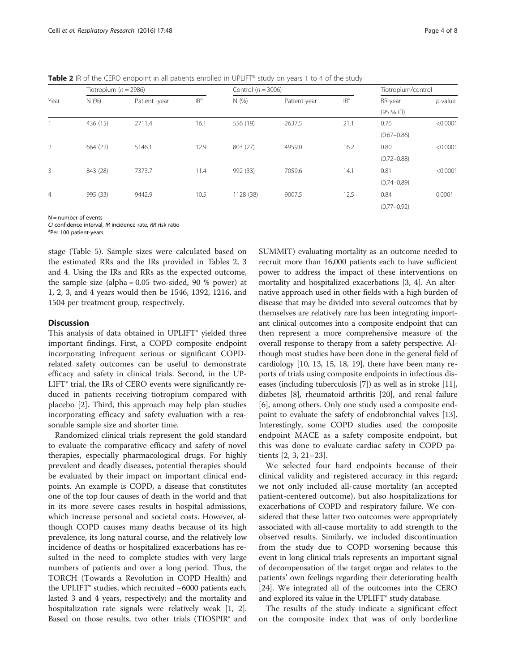<span id="page-3-0"></span>Table 2 IR of the CERO endpoint in all patients enrolled in UPLIFT® study on years 1 to 4 of the study

|                |          | Tiotropium ( $n = 2986$ ) |                 |           | Control ( $n = 3006$ ) |                 |                 | Tiotropium/control |  |
|----------------|----------|---------------------------|-----------------|-----------|------------------------|-----------------|-----------------|--------------------|--|
| Year           | N(% )    | Patient -year             | IR <sup>a</sup> | N(%)      | Patient-year           | IR <sup>a</sup> | RR-year         | $p$ -value         |  |
|                |          |                           |                 |           |                        |                 | (95 % CI)       |                    |  |
|                | 436 (15) | 2711.4                    | 16.1            | 556 (19)  | 2637.5                 | 21.1            | 0.76            | < 0.0001           |  |
|                |          |                           |                 |           |                        |                 | $(0.67 - 0.86)$ |                    |  |
| 2              | 664 (22) | 5146.1                    | 12.9            | 803 (27)  | 4959.0                 | 16.2            | 0.80            | < 0.0001           |  |
|                |          |                           |                 |           |                        |                 | $(0.72 - 0.88)$ |                    |  |
| 3              | 843 (28) | 7373.7                    | 11.4            | 992 (33)  | 7059.6                 | 14.1            | 0.81            | < 0.0001           |  |
|                |          |                           |                 |           |                        |                 | $(0.74 - 0.89)$ |                    |  |
| $\overline{4}$ | 995 (33) | 9442.9                    | 10.5            | 1128 (38) | 9007.5                 | 12.5            | 0.84            | 0.0001             |  |
|                |          |                           |                 |           |                        |                 | $(0.77 - 0.92)$ |                    |  |

 $N =$  number of events

CI confidence interval, IR incidence rate,  $RR$  risk ratio

<sup>a</sup>Per 100 patient-years

stage (Table [5](#page-5-0)). Sample sizes were calculated based on the estimated RRs and the IRs provided in Tables 2, [3](#page-4-0) and [4](#page-5-0). Using the IRs and RRs as the expected outcome, the sample size (alpha =  $0.05$  two-sided, 90 % power) at 1, 2, 3, and 4 years would then be 1546, 1392, 1216, and 1504 per treatment group, respectively.

#### **Discussion**

This analysis of data obtained in UPLIFT® yielded three important findings. First, a COPD composite endpoint incorporating infrequent serious or significant COPDrelated safety outcomes can be useful to demonstrate efficacy and safety in clinical trials. Second, in the UP-LIFT<sup>®</sup> trial, the IRs of CERO events were significantly reduced in patients receiving tiotropium compared with placebo [[2\]](#page-7-0). Third, this approach may help plan studies incorporating efficacy and safety evaluation with a reasonable sample size and shorter time.

Randomized clinical trials represent the gold standard to evaluate the comparative efficacy and safety of novel therapies, especially pharmacological drugs. For highly prevalent and deadly diseases, potential therapies should be evaluated by their impact on important clinical endpoints. An example is COPD, a disease that constitutes one of the top four causes of death in the world and that in its more severe cases results in hospital admissions, which increase personal and societal costs. However, although COPD causes many deaths because of its high prevalence, its long natural course, and the relatively low incidence of deaths or hospitalized exacerbations has resulted in the need to complete studies with very large numbers of patients and over a long period. Thus, the TORCH (Towards a Revolution in COPD Health) and the UPLIFT<sup>®</sup> studies, which recruited  $~6000$  patients each, lasted 3 and 4 years, respectively; and the mortality and hospitalization rate signals were relatively weak [\[1](#page-7-0), [2](#page-7-0)]. Based on those results, two other trials (TIOSPIR<sup>®</sup> and SUMMIT) evaluating mortality as an outcome needed to recruit more than 16,000 patients each to have sufficient power to address the impact of these interventions on mortality and hospitalized exacerbations [[3](#page-7-0), [4](#page-7-0)]. An alternative approach used in other fields with a high burden of disease that may be divided into several outcomes that by themselves are relatively rare has been integrating important clinical outcomes into a composite endpoint that can then represent a more comprehensive measure of the overall response to therapy from a safety perspective. Although most studies have been done in the general field of cardiology [[10](#page-7-0), [13, 15](#page-7-0), [18](#page-7-0), [19\]](#page-7-0), there have been many reports of trials using composite endpoints in infectious diseases (including tuberculosis [\[7](#page-7-0)]) as well as in stroke [[11](#page-7-0)], diabetes [[8\]](#page-7-0), rheumatoid arthritis [[20](#page-7-0)], and renal failure [[6\]](#page-7-0), among others. Only one study used a composite endpoint to evaluate the safety of endobronchial valves [[13](#page-7-0)]. Interestingly, some COPD studies used the composite endpoint MACE as a safety composite endpoint, but this was done to evaluate cardiac safety in COPD patients [[2](#page-7-0), [3](#page-7-0), [21](#page-7-0)–[23](#page-7-0)].

We selected four hard endpoints because of their clinical validity and registered accuracy in this regard; we not only included all-cause mortality (an accepted patient-centered outcome), but also hospitalizations for exacerbations of COPD and respiratory failure. We considered that these latter two outcomes were appropriately associated with all-cause mortality to add strength to the observed results. Similarly, we included discontinuation from the study due to COPD worsening because this event in long clinical trials represents an important signal of decompensation of the target organ and relates to the patients' own feelings regarding their deteriorating health [[24](#page-7-0)]. We integrated all of the outcomes into the CERO and explored its value in the UPLIFT® study database.

The results of the study indicate a significant effect on the composite index that was of only borderline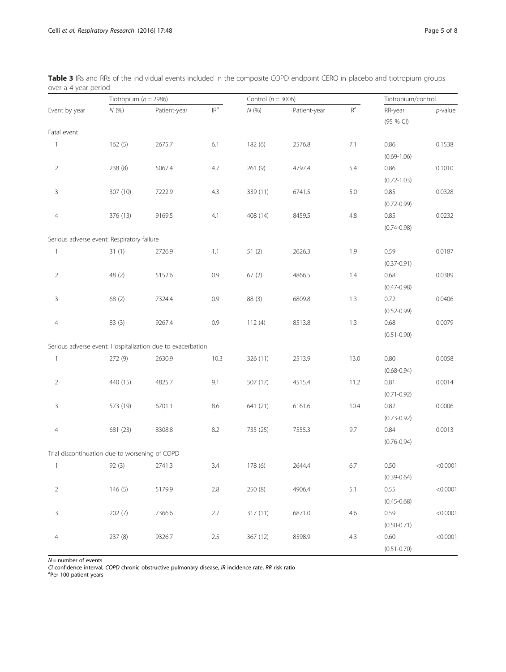|                                                | Tiotropium ( $n = 2986$ ) |                                                            |                                              | Control ( $n = 3006$ ) |              |                                              | Tiotropium/control |            |
|------------------------------------------------|---------------------------|------------------------------------------------------------|----------------------------------------------|------------------------|--------------|----------------------------------------------|--------------------|------------|
| Event by year                                  | N(%                       | Patient-year                                               | $\ensuremath{\mathsf{IR}^\mathrm{a}}\xspace$ | N(%)                   | Patient-year | $\ensuremath{\mathsf{IR}^\mathrm{a}}\xspace$ | RR-year            | $p$ -value |
|                                                |                           |                                                            |                                              |                        |              |                                              | (95 % CI)          |            |
| Fatal event                                    |                           |                                                            |                                              |                        |              |                                              |                    |            |
| $\mathbf{1}$                                   | 162(5)                    | 2675.7                                                     | 6.1                                          | 182 (6)                | 2576.8       | 7.1                                          | 0.86               | 0.1538     |
|                                                |                           |                                                            |                                              |                        |              |                                              | $(0.69 - 1.06)$    |            |
| $\overline{2}$                                 | 238 (8)                   | 5067.4                                                     | 4.7                                          | 261 (9)                | 4797.4       | 5.4                                          | 0.86               | 0.1010     |
|                                                |                           |                                                            |                                              |                        |              |                                              | $(0.72 - 1.03)$    |            |
| 3                                              | 307 (10)                  | 7222.9                                                     | 4.3                                          | 339 (11)               | 6741.5       | 5.0                                          | 0.85               | 0.0328     |
|                                                |                           |                                                            |                                              |                        |              |                                              | $(0.72 - 0.99)$    |            |
| $\overline{4}$                                 | 376 (13)                  | 9169.5                                                     | 4.1                                          | 408 (14)               | 8459.5       | 4.8                                          | 0.85               | 0.0232     |
|                                                |                           |                                                            |                                              |                        |              |                                              | $(0.74 - 0.98)$    |            |
| Serious adverse event: Respiratory failure     |                           |                                                            |                                              |                        |              |                                              |                    |            |
| $\mathbf{1}$                                   | 31(1)                     | 2726.9                                                     | 1.1                                          | 51(2)                  | 2626.3       | 1.9                                          | 0.59               | 0.0187     |
|                                                |                           |                                                            |                                              |                        |              |                                              | $(0.37 - 0.91)$    |            |
| $\overline{2}$                                 | 48 (2)                    | 5152.6                                                     | 0.9                                          | 67(2)                  | 4866.5       | 1.4                                          | 0.68               | 0.0389     |
|                                                |                           |                                                            |                                              |                        |              |                                              | $(0.47 - 0.98)$    |            |
| 3                                              | 68 (2)                    | 7324.4                                                     | 0.9                                          | 88 (3)                 | 6809.8       | 1.3                                          | 0.72               | 0.0406     |
|                                                |                           |                                                            |                                              |                        |              |                                              | $(0.52 - 0.99)$    |            |
| $\overline{4}$                                 | 83(3)                     | 9267.4                                                     | 0.9                                          | 112(4)                 | 8513.8       | 1.3                                          | 0.68               | 0.0079     |
|                                                |                           |                                                            |                                              |                        |              |                                              | $(0.51 - 0.90)$    |            |
|                                                |                           | Serious adverse event: Hospitalization due to exacerbation |                                              |                        |              |                                              |                    |            |
| $\mathbf{1}$                                   | 272 (9)                   | 2630.9                                                     | 10.3                                         | 326 (11)               | 2513.9       | 13.0                                         | 0.80               | 0.0058     |
|                                                |                           |                                                            |                                              |                        |              |                                              | $(0.68 - 0.94)$    |            |
| $\overline{2}$                                 | 440 (15)                  | 4825.7                                                     | 9.1                                          | 507 (17)               | 4515.4       | 11.2                                         | 0.81               | 0.0014     |
|                                                |                           |                                                            |                                              |                        |              |                                              | $(0.71 - 0.92)$    |            |
| 3                                              | 573 (19)                  | 6701.1                                                     | 8.6                                          | 641 (21)               | 6161.6       | 10.4                                         | 0.82               | 0.0006     |
|                                                |                           |                                                            |                                              |                        |              |                                              | $(0.73 - 0.92)$    |            |
| $\overline{4}$                                 | 681 (23)                  | 8308.8                                                     | 8.2                                          | 735 (25)               | 7555.3       | 9.7                                          | 0.84               | 0.0013     |
|                                                |                           |                                                            |                                              |                        |              |                                              | $(0.76 - 0.94)$    |            |
| Trial discontinuation due to worsening of COPD |                           |                                                            |                                              |                        |              |                                              |                    |            |
| $\mathbf{1}$                                   | 92 (3)                    | 2741.3                                                     | 3.4                                          | 178 (6)                | 2644.4       | 6.7                                          | 0.50               | < 0.0001   |
|                                                |                           |                                                            |                                              |                        |              |                                              | $(0.39 - 0.64)$    |            |
| $\overline{2}$                                 | 146(5)                    | 5179.9                                                     | $2.8\,$                                      | 250 (8)                | 4906.4       | 5.1                                          | 0.55               | < 0.0001   |
|                                                |                           |                                                            |                                              |                        |              |                                              | $(0.45 - 0.68)$    |            |
| 3                                              | 202(7)                    | 7366.6                                                     | 2.7                                          | 317 (11)               | 6871.0       | 4.6                                          | 0.59               | < 0.0001   |
|                                                |                           |                                                            |                                              |                        |              |                                              | $(0.50 - 0.71)$    |            |
| $\overline{4}$                                 | 237 (8)                   | 9326.7                                                     | $2.5\,$                                      | 367 (12)               | 8598.9       | 4.3                                          | 0.60               | < 0.0001   |
|                                                |                           |                                                            |                                              |                        |              |                                              | $(0.51 - 0.70)$    |            |

<span id="page-4-0"></span>Table 3 IRs and RRs of the individual events included in the composite COPD endpoint CERO in placebo and tiotropium groups over a 4-year period

 $N =$  number of events

CI confidence interval, COPD chronic obstructive pulmonary disease, IR incidence rate, RR risk ratio

<sup>a</sup>Per 100 patient-years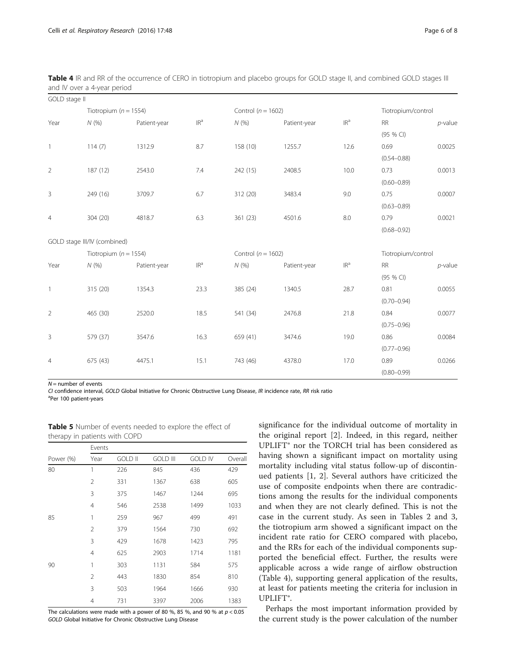| GOLD stage II  |                              |              |                 |                        |                        |                 |                 |                    |  |
|----------------|------------------------------|--------------|-----------------|------------------------|------------------------|-----------------|-----------------|--------------------|--|
|                | Tiotropium ( $n = 1554$ )    |              |                 |                        | Control ( $n = 1602$ ) |                 |                 | Tiotropium/control |  |
| Year           | N(%)                         | Patient-year | IR <sup>a</sup> | N(%                    | Patient-year           | IR <sup>a</sup> | <b>RR</b>       | $p$ -value         |  |
|                |                              |              |                 |                        |                        |                 | (95 % C)        |                    |  |
| $\mathbf{1}$   | 114(7)                       | 1312.9       | 8.7             | 158 (10)               | 1255.7                 | 12.6            | 0.69            | 0.0025             |  |
|                |                              |              |                 |                        |                        |                 | $(0.54 - 0.88)$ |                    |  |
| $\overline{2}$ | 187 (12)                     | 2543.0       | 7.4             | 242 (15)               | 2408.5                 | 10.0            | 0.73            | 0.0013             |  |
|                |                              |              |                 |                        |                        |                 | $(0.60 - 0.89)$ |                    |  |
| 3              | 249 (16)                     | 3709.7       | 6.7             | 312 (20)               | 3483.4                 | 9.0             | 0.75            | 0.0007             |  |
|                |                              |              |                 |                        |                        |                 | $(0.63 - 0.89)$ |                    |  |
| $\overline{4}$ | 304 (20)                     | 4818.7       | 6.3             | 361(23)                | 4501.6                 | 8.0             | 0.79            | 0.0021             |  |
|                |                              |              |                 |                        |                        |                 | $(0.68 - 0.92)$ |                    |  |
|                | GOLD stage III/IV (combined) |              |                 |                        |                        |                 |                 |                    |  |
|                | Tiotropium ( $n = 1554$ )    |              |                 | Control ( $n = 1602$ ) |                        |                 |                 | Tiotropium/control |  |
| Year           | N(%                          | Patient-year | IR <sup>a</sup> | N(%                    | Patient-year           | IR <sup>a</sup> | <b>RR</b>       | $p$ -value         |  |
|                |                              |              |                 |                        |                        |                 | (95 % C)        |                    |  |
| $\mathbf{1}$   | 315 (20)                     | 1354.3       | 23.3            | 385 (24)               | 1340.5                 | 28.7            | 0.81            | 0.0055             |  |
|                |                              |              |                 |                        |                        |                 | $(0.70 - 0.94)$ |                    |  |
| 2              | 465 (30)                     | 2520.0       | 18.5            | 541 (34)               | 2476.8                 | 21.8            | 0.84            | 0.0077             |  |
|                |                              |              |                 |                        |                        |                 | $(0.75 - 0.96)$ |                    |  |
| 3              | 579 (37)                     | 3547.6       | 16.3            | 659 (41)               | 3474.6                 | 19.0            | 0.86            | 0.0084             |  |
|                |                              |              |                 |                        |                        |                 | $(0.77 - 0.96)$ |                    |  |
| 4              | 675 (43)                     | 4475.1       | 15.1            | 743 (46)               | 4378.0                 | 17.0            | 0.89            | 0.0266             |  |
|                |                              |              |                 |                        |                        |                 | $(0.80 - 0.99)$ |                    |  |

<span id="page-5-0"></span>Table 4 IR and RR of the occurrence of CERO in tiotropium and placebo groups for GOLD stage II, and combined GOLD stages III and IV over a 4-year period

 $N =$  number of events

CI confidence interval, GOLD Global Initiative for Chronic Obstructive Lung Disease, IR incidence rate, RR risk ratio

<sup>a</sup>Per 100 patient-years

Table 5 Number of events needed to explore the effect of therapy in patients with COPD

|           | Events         |                |                 |                |         |  |  |  |
|-----------|----------------|----------------|-----------------|----------------|---------|--|--|--|
| Power (%) | Year           | <b>GOLD II</b> | <b>GOLD III</b> | <b>GOLD IV</b> | Overall |  |  |  |
| 80        | 1              | 226            | 845             | 436            | 429     |  |  |  |
|           | 2              | 331            | 1367            | 638            | 605     |  |  |  |
|           | 3              | 375            | 1467            | 1244           | 695     |  |  |  |
|           | 4              | 546            | 2538            | 1499           | 1033    |  |  |  |
| 85        | 1              | 259            | 967             | 499            | 491     |  |  |  |
|           | $\overline{2}$ | 379            | 1564            | 730            | 692     |  |  |  |
|           | 3              | 429            | 1678            | 1423           | 795     |  |  |  |
|           | $\overline{4}$ | 625            | 2903            | 1714           | 1181    |  |  |  |
| 90        | 1              | 303            | 1131            | 584            | 575     |  |  |  |
|           | $\overline{2}$ | 443            | 1830            | 854            | 810     |  |  |  |
|           | 3              | 503            | 1964            | 1666           | 930     |  |  |  |
|           | $\overline{4}$ | 731            | 3397            | 2006           | 1383    |  |  |  |

The calculations were made with a power of 80 %, 85 %, and 90 % at  $p < 0.05$ GOLD Global Initiative for Chronic Obstructive Lung Disease

significance for the individual outcome of mortality in the original report [[2\]](#page-7-0). Indeed, in this regard, neither UPLIFT® nor the TORCH trial has been considered as having shown a significant impact on mortality using mortality including vital status follow-up of discontinued patients [\[1](#page-7-0), [2\]](#page-7-0). Several authors have criticized the use of composite endpoints when there are contradictions among the results for the individual components and when they are not clearly defined. This is not the case in the current study. As seen in Tables [2](#page-3-0) and [3](#page-4-0), the tiotropium arm showed a significant impact on the incident rate ratio for CERO compared with placebo, and the RRs for each of the individual components supported the beneficial effect. Further, the results were applicable across a wide range of airflow obstruction (Table 4), supporting general application of the results, at least for patients meeting the criteria for inclusion in UPLIFT®.

Perhaps the most important information provided by the current study is the power calculation of the number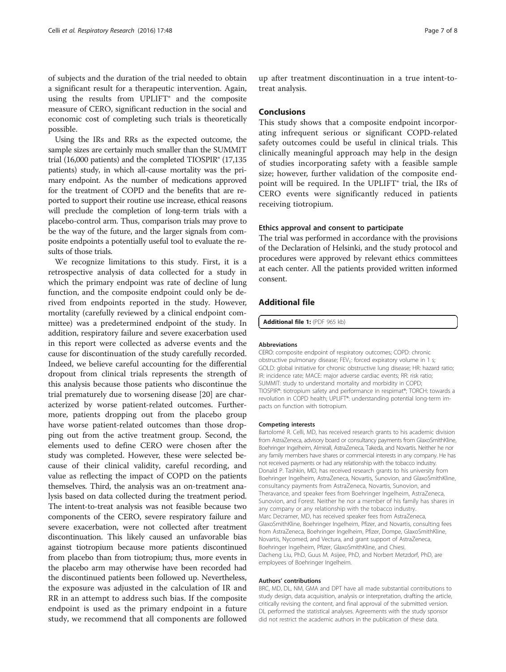of subjects and the duration of the trial needed to obtain a significant result for a therapeutic intervention. Again, using the results from UPLIFT® and the composite measure of CERO, significant reduction in the social and economic cost of completing such trials is theoretically possible.

Using the IRs and RRs as the expected outcome, the sample sizes are certainly much smaller than the SUMMIT trial (16,000 patients) and the completed TIOSPIR® (17,135 patients) study, in which all-cause mortality was the primary endpoint. As the number of medications approved for the treatment of COPD and the benefits that are reported to support their routine use increase, ethical reasons will preclude the completion of long-term trials with a placebo-control arm. Thus, comparison trials may prove to be the way of the future, and the larger signals from composite endpoints a potentially useful tool to evaluate the results of those trials.

We recognize limitations to this study. First, it is a retrospective analysis of data collected for a study in which the primary endpoint was rate of decline of lung function, and the composite endpoint could only be derived from endpoints reported in the study. However, mortality (carefully reviewed by a clinical endpoint committee) was a predetermined endpoint of the study. In addition, respiratory failure and severe exacerbation used in this report were collected as adverse events and the cause for discontinuation of the study carefully recorded. Indeed, we believe careful accounting for the differential dropout from clinical trials represents the strength of this analysis because those patients who discontinue the trial prematurely due to worsening disease [[20\]](#page-7-0) are characterized by worse patient-related outcomes. Furthermore, patients dropping out from the placebo group have worse patient-related outcomes than those dropping out from the active treatment group. Second, the elements used to define CERO were chosen after the study was completed. However, these were selected because of their clinical validity, careful recording, and value as reflecting the impact of COPD on the patients themselves. Third, the analysis was an on-treatment analysis based on data collected during the treatment period. The intent-to-treat analysis was not feasible because two components of the CERO, severe respiratory failure and severe exacerbation, were not collected after treatment discontinuation. This likely caused an unfavorable bias against tiotropium because more patients discontinued from placebo than from tiotropium; thus, more events in the placebo arm may otherwise have been recorded had the discontinued patients been followed up. Nevertheless, the exposure was adjusted in the calculation of IR and RR in an attempt to address such bias. If the composite endpoint is used as the primary endpoint in a future study, we recommend that all components are followed

up after treatment discontinuation in a true intent-totreat analysis.

#### **Conclusions**

This study shows that a composite endpoint incorporating infrequent serious or significant COPD-related safety outcomes could be useful in clinical trials. This clinically meaningful approach may help in the design of studies incorporating safety with a feasible sample size; however, further validation of the composite endpoint will be required. In the UPLIFT® trial, the IRs of CERO events were significantly reduced in patients receiving tiotropium.

#### Ethics approval and consent to participate

The trial was performed in accordance with the provisions of the Declaration of Helsinki, and the study protocol and procedures were approved by relevant ethics committees at each center. All the patients provided written informed consent.

#### Additional file

[Additional file 1:](dx.doi.org/10.1186/s12931-016-0361-4) (PDF 965 kb)

#### Abbreviations

CERO: composite endpoint of respiratory outcomes; COPD: chronic obstructive pulmonary disease;  $FEV<sub>1</sub>$ : forced expiratory volume in 1 s; GOLD: global initiative for chronic obstructive lung disease; HR: hazard ratio; IR: incidence rate; MACE: major adverse cardiac events; RR: risk ratio; SUMMIT: study to understand mortality and morbidity in COPD; TIOSPIR®: tiotropium safety and performance in respimat®; TORCH: towards a revolution in COPD health; UPLIFT®: understanding potential long-term impacts on function with tiotropium.

#### Competing interests

Bartolomé R. Celli, MD, has received research grants to his academic division from AstraZeneca, advisory board or consultancy payments from GlaxoSmithKline, Boehringer Ingelheim, Almirall, AstraZeneca, Takeda, and Novartis. Neither he nor any family members have shares or commercial interests in any company. He has not received payments or had any relationship with the tobacco industry. Donald P. Tashkin, MD, has received research grants to his university from Boehringer Ingelheim, AstraZeneca, Novartis, Sunovion, and GlaxoSmithKline, consultancy payments from AstraZeneca, Novartis, Sunovion, and Theravance, and speaker fees from Boehringer Ingelheim, AstraZeneca, Sunovion, and Forest. Neither he nor a member of his family has shares in any company or any relationship with the tobacco industry. Marc Decramer, MD, has received speaker fees from AstraZeneca, GlaxoSmithKline, Boehringer Ingelheim, Pfizer, and Novartis, consulting fees from AstraZeneca, Boehringer Ingelheim, Pfizer, Dompe, GlaxoSmithKline, Novartis, Nycomed, and Vectura, and grant support of AstraZeneca, Boehringer Ingelheim, Pfizer, GlaxoSmithKline, and Chiesi. Dacheng Liu, PhD, Guus M. Asijee, PhD, and Norbert Metzdorf, PhD, are employees of Boehringer Ingelheim.

#### Authors' contributions

BRC, MD, DL, NM, GMA and DPT have all made substantial contributions to study design, data acquisition, analysis or interpretation, drafting the article, critically revising the content, and final approval of the submitted version. DL performed the statistical analyses. Agreements with the study sponsor did not restrict the academic authors in the publication of these data.